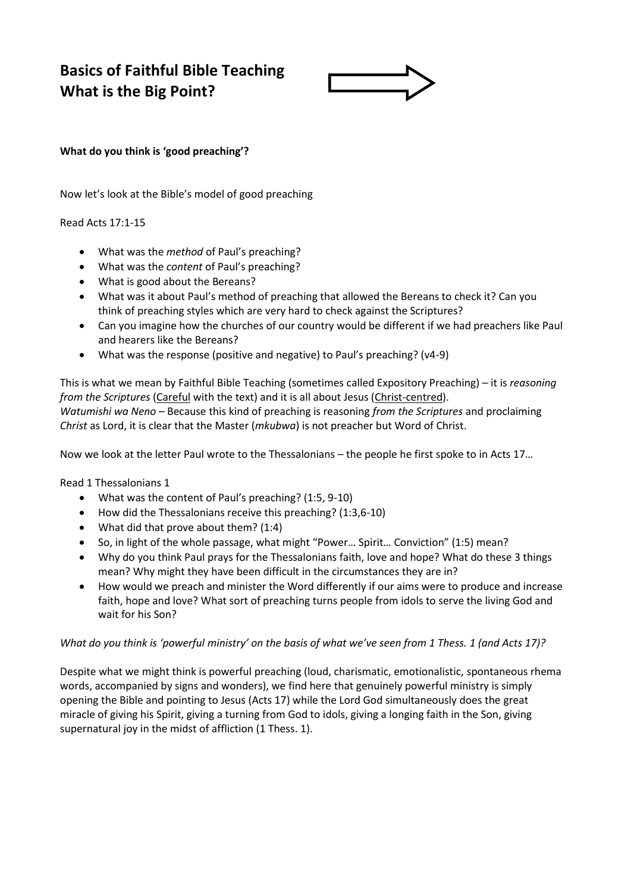**Basics of Faithful Bible Teaching What is the Big Point?**



### **What do you think is 'good preaching'?**

Now let's look at the Bible's model of good preaching

### Read Acts 17:1-15

- What was the *method* of Paul's preaching?
- What was the *content* of Paul's preaching?
- What is good about the Bereans?
- What was it about Paul's method of preaching that allowed the Bereans to check it? Can you think of preaching styles which are very hard to check against the Scriptures?
- Can you imagine how the churches of our country would be different if we had preachers like Paul and hearers like the Bereans?
- What was the response (positive and negative) to Paul's preaching? (v4-9)

This is what we mean by Faithful Bible Teaching (sometimes called Expository Preaching) – it is *reasoning from the Scriptures* (Careful with the text) and it is all about Jesus (Christ-centred). *Watumishi wa Neno* – Because this kind of preaching is reasoning *from the Scriptures* and proclaiming *Christ* as Lord, it is clear that the Master (*mkubwa*) is not preacher but Word of Christ.

Now we look at the letter Paul wrote to the Thessalonians – the people he first spoke to in Acts 17…

Read 1 Thessalonians 1

- What was the content of Paul's preaching? (1:5, 9-10)
- $\bullet$  How did the Thessalonians receive this preaching? (1:3,6-10)
- What did that prove about them? (1:4)
- So, in light of the whole passage, what might "Power… Spirit… Conviction" (1:5) mean?
- Why do you think Paul prays for the Thessalonians faith, love and hope? What do these 3 things mean? Why might they have been difficult in the circumstances they are in?
- How would we preach and minister the Word differently if our aims were to produce and increase faith, hope and love? What sort of preaching turns people from idols to serve the living God and wait for his Son?

### *What do you think is 'powerful ministry' on the basis of what we've seen from 1 Thess. 1 (and Acts 17)?*

Despite what we might think is powerful preaching (loud, charismatic, emotionalistic, spontaneous rhema words, accompanied by signs and wonders), we find here that genuinely powerful ministry is simply opening the Bible and pointing to Jesus (Acts 17) while the Lord God simultaneously does the great miracle of giving his Spirit, giving a turning from God to idols, giving a longing faith in the Son, giving supernatural joy in the midst of affliction (1 Thess. 1).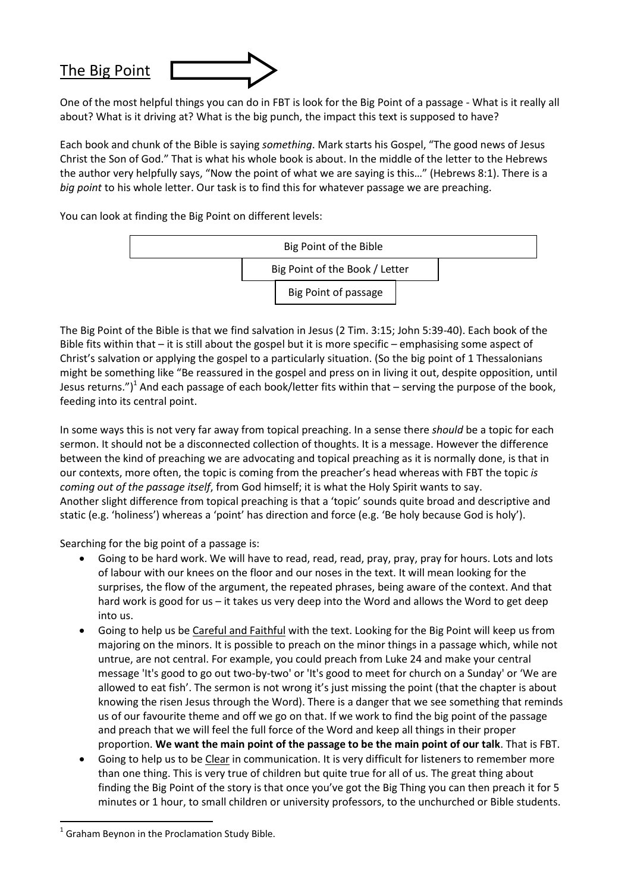# The Big Point

One of the most helpful things you can do in FBT is look for the Big Point of a passage - What is it really all about? What is it driving at? What is the big punch, the impact this text is supposed to have?

Each book and chunk of the Bible is saying *something*. Mark starts his Gospel, "The good news of Jesus Christ the Son of God." That is what his whole book is about. In the middle of the letter to the Hebrews the author very helpfully says, "Now the point of what we are saying is this…" (Hebrews 8:1). There is a *big point* to his whole letter. Our task is to find this for whatever passage we are preaching.

You can look at finding the Big Point on different levels:



The Big Point of the Bible is that we find salvation in Jesus (2 Tim. 3:15; John 5:39-40). Each book of the Bible fits within that – it is still about the gospel but it is more specific – emphasising some aspect of Christ's salvation or applying the gospel to a particularly situation. (So the big point of 1 Thessalonians might be something like "Be reassured in the gospel and press on in living it out, despite opposition, until Jesus returns.")<sup>1</sup> And each passage of each book/letter fits within that – serving the purpose of the book, feeding into its central point.

In some ways this is not very far away from topical preaching. In a sense there *should* be a topic for each sermon. It should not be a disconnected collection of thoughts. It is a message. However the difference between the kind of preaching we are advocating and topical preaching as it is normally done, is that in our contexts, more often, the topic is coming from the preacher's head whereas with FBT the topic *is coming out of the passage itself*, from God himself; it is what the Holy Spirit wants to say. Another slight difference from topical preaching is that a 'topic' sounds quite broad and descriptive and static (e.g. 'holiness') whereas a 'point' has direction and force (e.g. 'Be holy because God is holy').

Searching for the big point of a passage is:

- Going to be hard work. We will have to read, read, read, pray, pray, pray for hours. Lots and lots of labour with our knees on the floor and our noses in the text. It will mean looking for the surprises, the flow of the argument, the repeated phrases, being aware of the context. And that hard work is good for us – it takes us very deep into the Word and allows the Word to get deep into us.
- Going to help us be Careful and Faithful with the text. Looking for the Big Point will keep us from majoring on the minors. It is possible to preach on the minor things in a passage which, while not untrue, are not central. For example, you could preach from Luke 24 and make your central message 'It's good to go out two-by-two' or 'It's good to meet for church on a Sunday' or 'We are allowed to eat fish'. The sermon is not wrong it's just missing the point (that the chapter is about knowing the risen Jesus through the Word). There is a danger that we see something that reminds us of our favourite theme and off we go on that. If we work to find the big point of the passage and preach that we will feel the full force of the Word and keep all things in their proper proportion. **We want the main point of the passage to be the main point of our talk**. That is FBT.
- Going to help us to be Clear in communication. It is very difficult for listeners to remember more than one thing. This is very true of children but quite true for all of us. The great thing about finding the Big Point of the story is that once you've got the Big Thing you can then preach it for 5 minutes or 1 hour, to small children or university professors, to the unchurched or Bible students.

1

 $<sup>1</sup>$  Graham Beynon in the Proclamation Study Bible.</sup>